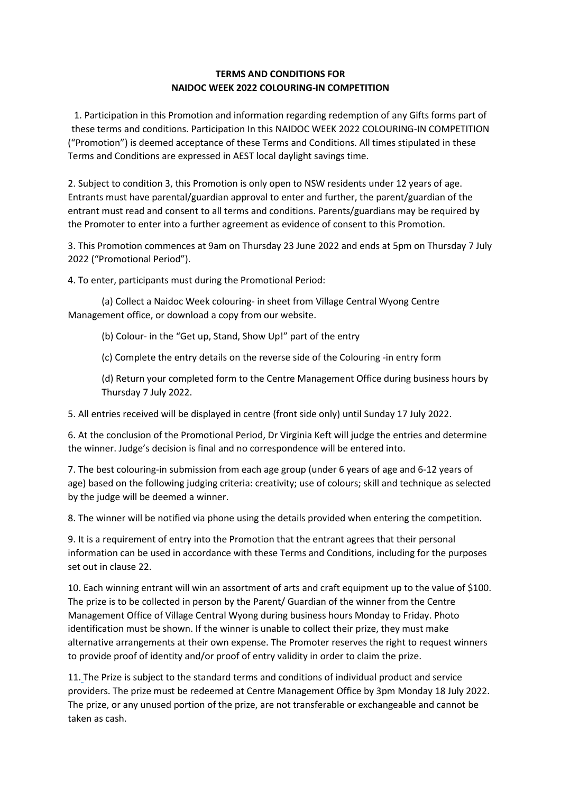## **TERMS AND CONDITIONS FOR NAIDOC WEEK 2022 COLOURING-IN COMPETITION**

1. Participation in this Promotion and information regarding redemption of any Gifts forms part of these terms and conditions. Participation In this NAIDOC WEEK 2022 COLOURING-IN COMPETITION ("Promotion") is deemed acceptance of these Terms and Conditions. All times stipulated in these Terms and Conditions are expressed in AEST local daylight savings time.

2. Subject to condition 3, this Promotion is only open to NSW residents under 12 years of age. Entrants must have parental/guardian approval to enter and further, the parent/guardian of the entrant must read and consent to all terms and conditions. Parents/guardians may be required by the Promoter to enter into a further agreement as evidence of consent to this Promotion.

3. This Promotion commences at 9am on Thursday 23 June 2022 and ends at 5pm on Thursday 7 July 2022 ("Promotional Period").

4. To enter, participants must during the Promotional Period:

(a) Collect a Naidoc Week colouring- in sheet from Village Central Wyong Centre Management office, or download a copy from our website.

(b) Colour- in the "Get up, Stand, Show Up!" part of the entry

(c) Complete the entry details on the reverse side of the Colouring -in entry form

(d) Return your completed form to the Centre Management Office during business hours by Thursday 7 July 2022.

5. All entries received will be displayed in centre (front side only) until Sunday 17 July 2022.

6. At the conclusion of the Promotional Period, Dr Virginia Keft will judge the entries and determine the winner. Judge's decision is final and no correspondence will be entered into.

7. The best colouring-in submission from each age group (under 6 years of age and 6-12 years of age) based on the following judging criteria: creativity; use of colours; skill and technique as selected by the judge will be deemed a winner.

8. The winner will be notified via phone using the details provided when entering the competition.

9. It is a requirement of entry into the Promotion that the entrant agrees that their personal information can be used in accordance with these Terms and Conditions, including for the purposes set out in clause 22.

10. Each winning entrant will win an assortment of arts and craft equipment up to the value of \$100. The prize is to be collected in person by the Parent/ Guardian of the winner from the Centre Management Office of Village Central Wyong during business hours Monday to Friday. Photo identification must be shown. If the winner is unable to collect their prize, they must make alternative arrangements at their own expense. The Promoter reserves the right to request winners to provide proof of identity and/or proof of entry validity in order to claim the prize.

11. The Prize is subject to the standard terms and conditions of individual product and service providers. The prize must be redeemed at Centre Management Office by 3pm Monday 18 July 2022. The prize, or any unused portion of the prize, are not transferable or exchangeable and cannot be taken as cash.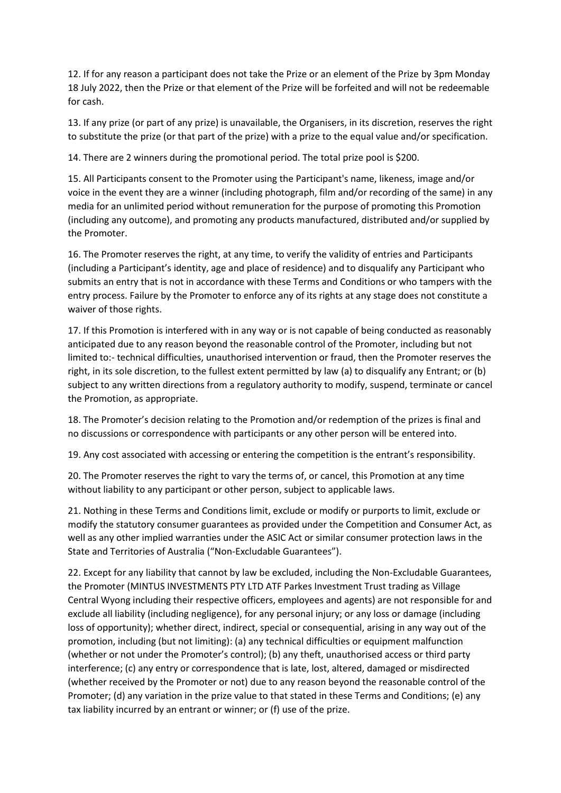12. If for any reason a participant does not take the Prize or an element of the Prize by 3pm Monday 18 July 2022, then the Prize or that element of the Prize will be forfeited and will not be redeemable for cash.

13. If any prize (or part of any prize) is unavailable, the Organisers, in its discretion, reserves the right to substitute the prize (or that part of the prize) with a prize to the equal value and/or specification.

14. There are 2 winners during the promotional period. The total prize pool is \$200.

15. All Participants consent to the Promoter using the Participant's name, likeness, image and/or voice in the event they are a winner (including photograph, film and/or recording of the same) in any media for an unlimited period without remuneration for the purpose of promoting this Promotion (including any outcome), and promoting any products manufactured, distributed and/or supplied by the Promoter.

16. The Promoter reserves the right, at any time, to verify the validity of entries and Participants (including a Participant's identity, age and place of residence) and to disqualify any Participant who submits an entry that is not in accordance with these Terms and Conditions or who tampers with the entry process. Failure by the Promoter to enforce any of its rights at any stage does not constitute a waiver of those rights.

17. If this Promotion is interfered with in any way or is not capable of being conducted as reasonably anticipated due to any reason beyond the reasonable control of the Promoter, including but not limited to:- technical difficulties, unauthorised intervention or fraud, then the Promoter reserves the right, in its sole discretion, to the fullest extent permitted by law (a) to disqualify any Entrant; or (b) subject to any written directions from a regulatory authority to modify, suspend, terminate or cancel the Promotion, as appropriate.

18. The Promoter's decision relating to the Promotion and/or redemption of the prizes is final and no discussions or correspondence with participants or any other person will be entered into.

19. Any cost associated with accessing or entering the competition is the entrant's responsibility.

20. The Promoter reserves the right to vary the terms of, or cancel, this Promotion at any time without liability to any participant or other person, subject to applicable laws.

21. Nothing in these Terms and Conditions limit, exclude or modify or purports to limit, exclude or modify the statutory consumer guarantees as provided under the Competition and Consumer Act, as well as any other implied warranties under the ASIC Act or similar consumer protection laws in the State and Territories of Australia ("Non-Excludable Guarantees").

22. Except for any liability that cannot by law be excluded, including the Non-Excludable Guarantees, the Promoter (MINTUS INVESTMENTS PTY LTD ATF Parkes Investment Trust trading as Village Central Wyong including their respective officers, employees and agents) are not responsible for and exclude all liability (including negligence), for any personal injury; or any loss or damage (including loss of opportunity); whether direct, indirect, special or consequential, arising in any way out of the promotion, including (but not limiting): (a) any technical difficulties or equipment malfunction (whether or not under the Promoter's control); (b) any theft, unauthorised access or third party interference; (c) any entry or correspondence that is late, lost, altered, damaged or misdirected (whether received by the Promoter or not) due to any reason beyond the reasonable control of the Promoter; (d) any variation in the prize value to that stated in these Terms and Conditions; (e) any tax liability incurred by an entrant or winner; or (f) use of the prize.